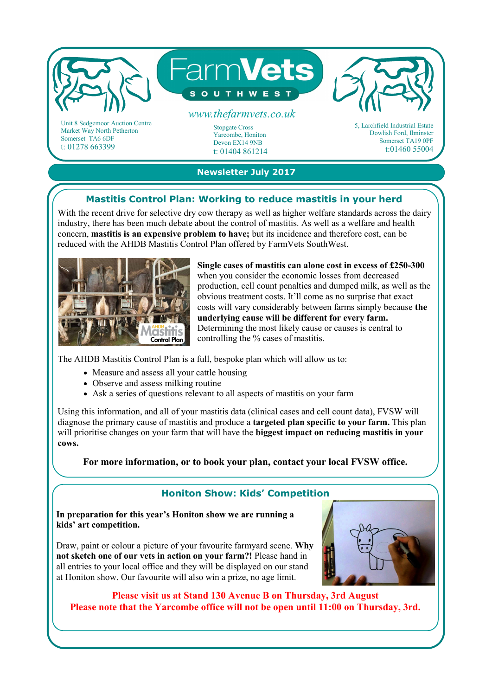

Somerset TA6 6DF t: 01278 663399

## **Newsletter July 2017**

Devon EX14 9NB t: 01404 861214

## **Mastitis Control Plan: Working to reduce mastitis in your herd**

With the recent drive for selective dry cow therapy as well as higher welfare standards across the dairy industry, there has been much debate about the control of mastitis. As well as a welfare and health concern, **mastitis is an expensive problem to have;** but its incidence and therefore cost, can be reduced with the AHDB Mastitis Control Plan offered by FarmVets SouthWest.



**Single cases of mastitis can alone cost in excess of £250-300**  when you consider the economic losses from decreased production, cell count penalties and dumped milk, as well as the obvious treatment costs. It'll come as no surprise that exact costs will vary considerably between farms simply because **the underlying cause will be different for every farm.**  Determining the most likely cause or causes is central to controlling the % cases of mastitis.

The AHDB Mastitis Control Plan is a full, bespoke plan which will allow us to:

- Measure and assess all your cattle housing
- Observe and assess milking routine
- Ask a series of questions relevant to all aspects of mastitis on your farm

Using this information, and all of your mastitis data (clinical cases and cell count data), FVSW will diagnose the primary cause of mastitis and produce a **targeted plan specific to your farm.** This plan will prioritise changes on your farm that will have the **biggest impact on reducing mastitis in your cows.** 

**For more information, or to book your plan, contact your local FVSW office.**

## **Honiton Show: Kids' Competition**

**In preparation for this year's Honiton show we are running a kids' art competition.** 

Draw, paint or colour a picture of your favourite farmyard scene. **Why not sketch one of our vets in action on your farm?!** Please hand in all entries to your local office and they will be displayed on our stand at Honiton show. Our favourite will also win a prize, no age limit.



Somerset TA19 0PF t:01460 55004

**Please visit us at Stand 130 Avenue B on Thursday, 3rd August Please note that the Yarcombe office will not be open until 11:00 on Thursday, 3rd.**